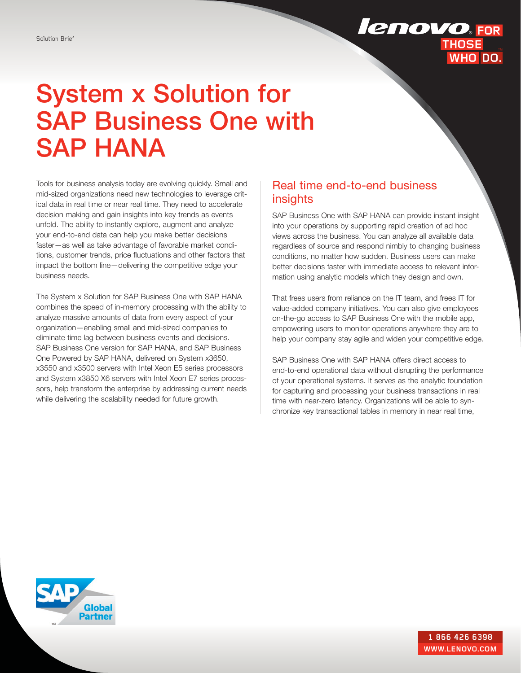# **lenovo**.FOR **THOSE** WHO DO.

# System x Solution for SAP Business One with SAP HANA

Tools for business analysis today are evolving quickly. Small and mid-sized organizations need new technologies to leverage critical data in real time or near real time. They need to accelerate decision making and gain insights into key trends as events unfold. The ability to instantly explore, augment and analyze your end-to-end data can help you make better decisions faster—as well as take advantage of favorable market conditions, customer trends, price fluctuations and other factors that impact the bottom line—delivering the competitive edge your business needs.

The System x Solution for SAP Business One with SAP HANA combines the speed of in-memory processing with the ability to analyze massive amounts of data from every aspect of your organization—enabling small and mid-sized companies to eliminate time lag between business events and decisions. SAP Business One version for SAP HANA, and SAP Business One Powered by SAP HANA, delivered on System x3650, x3550 and x3500 servers with Intel Xeon E5 series processors and System x3850 X6 servers with Intel Xeon E7 series processors, help transform the enterprise by addressing current needs while delivering the scalability needed for future growth.

## Real time end-to-end business insights

SAP Business One with SAP HANA can provide instant insight into your operations by supporting rapid creation of ad hoc views across the business. You can analyze all available data regardless of source and respond nimbly to changing business conditions, no matter how sudden. Business users can make better decisions faster with immediate access to relevant information using analytic models which they design and own.

That frees users from reliance on the IT team, and frees IT for value-added company initiatives. You can also give employees on-the-go access to SAP Business One with the mobile app, empowering users to monitor operations anywhere they are to help your company stay agile and widen your competitive edge.

SAP Business One with SAP HANA offers direct access to end-to-end operational data without disrupting the performance of your operational systems. It serves as the analytic foundation for capturing and processing your business transactions in real time with near-zero latency. Organizations will be able to synchronize key transactional tables in memory in near real time,

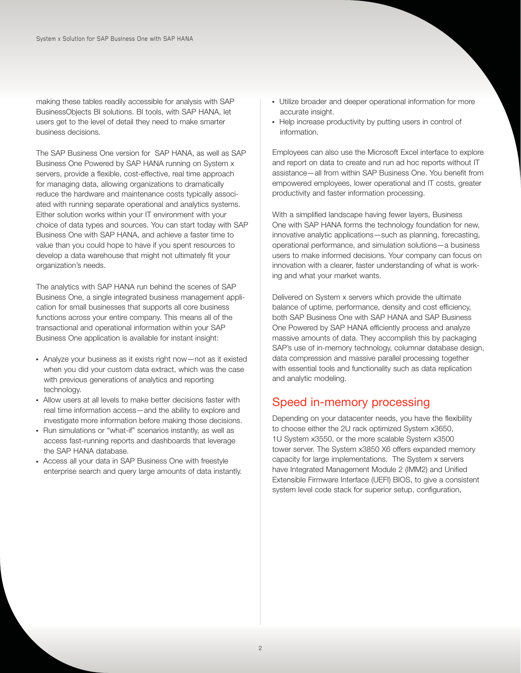making these tables readily accessible for analysis with SAP BusinessObjects BI solutions. BI tools, with SAP HANA, let users get to the level of detail they need to make smarter business decisions.

The SAP Business One version for SAP HANA, as well as SAP Business One Powered by SAP HANA running on System x servers, provide a flexible, cost-effective, real time approach for managing data, allowing organizations to dramatically reduce the hardware and maintenance costs typically associated with running separate operational and analytics systems. Either solution works within your IT environment with your choice of data types and sources. You can start today with SAP Business One with SAP HANA, and achieve a faster time to value than you could hope to have if you spent resources to develop a data warehouse that might not ultimately fit your organization's needs.

The analytics with SAP HANA run behind the scenes of SAP Business One, a single integrated business management application for small businesses that supports all core business functions across your entire company. This means all of the transactional and operational information within your SAP Business One application is available for instant insight:

- Analyze your business as it exists right now—not as it existed when you did your custom data extract, which was the case with previous generations of analytics and reporting technology.
- Allow users at all levels to make better decisions faster with real time information access—and the ability to explore and investigate more information before making those decisions.
- Run simulations or "what-if" scenarios instantly, as well as access fast-running reports and dashboards that leverage the SAP HANA database.
- Access all your data in SAP Business One with freestyle enterprise search and query large amounts of data instantly.
- Utilize broader and deeper operational information for more accurate insight.
- Help increase productivity by putting users in control of information.

Employees can also use the Microsoft Excel interface to explore and report on data to create and run ad hoc reports without IT assistance—all from within SAP Business One. You benefit from empowered employees, lower operational and IT costs, greater productivity and faster information processing.

With a simplified landscape having fewer layers, Business One with SAP HANA forms the technology foundation for new, innovative analytic applications—such as planning, forecasting, operational performance, and simulation solutions—a business users to make informed decisions. Your company can focus on innovation with a clearer, faster understanding of what is working and what your market wants.

Delivered on System x servers which provide the ultimate balance of uptime, performance, density and cost efficiency, both SAP Business One with SAP HANA and SAP Business One Powered by SAP HANA efficiently process and analyze massive amounts of data. They accomplish this by packaging SAP's use of in-memory technology, columnar database design, data compression and massive parallel processing together with essential tools and functionality such as data replication and analytic modeling.

# Speed in-memory processing

Depending on your datacenter needs, you have the flexibility to choose either the 2U rack optimized System x3650, 1U System x3550, or the more scalable System x3500 tower server. The System x3850 X6 offers expanded memory capacity for large implementations. The System x servers have Integrated Management Module 2 (IMM2) and Unified Extensible Firmware Interface (UEFI) BIOS, to give a consistent system level code stack for superior setup, configuration,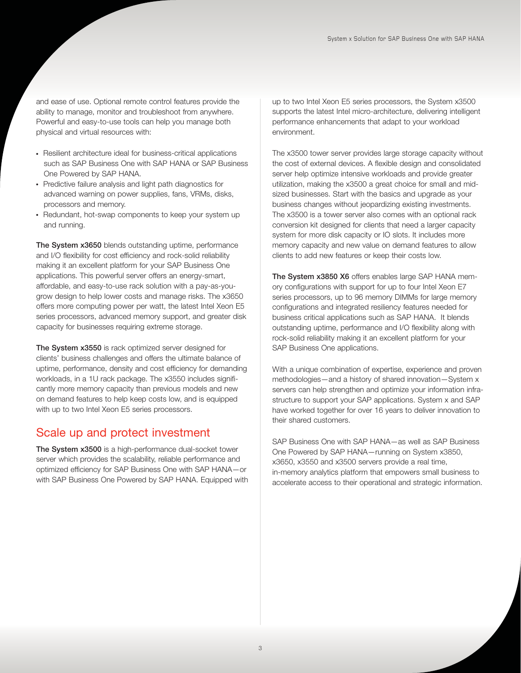and ease of use. Optional remote control features provide the ability to manage, monitor and troubleshoot from anywhere. Powerful and easy-to-use tools can help you manage both physical and virtual resources with:

- Resilient architecture ideal for business-critical applications such as SAP Business One with SAP HANA or SAP Business One Powered by SAP HANA.
- Predictive failure analysis and light path diagnostics for advanced warning on power supplies, fans, VRMs, disks, processors and memory.
- Redundant, hot-swap components to keep your system up and running.

The System x3650 blends outstanding uptime, performance and I/O flexibility for cost efficiency and rock-solid reliability making it an excellent platform for your SAP Business One applications. This powerful server offers an energy-smart, affordable, and easy-to-use rack solution with a pay-as-yougrow design to help lower costs and manage risks. The x3650 offers more computing power per watt, the latest Intel Xeon E5 series processors, advanced memory support, and greater disk capacity for businesses requiring extreme storage.

The System x3550 is rack optimized server designed for clients' business challenges and offers the ultimate balance of uptime, performance, density and cost efficiency for demanding workloads, in a 1U rack package. The x3550 includes significantly more memory capacity than previous models and new on demand features to help keep costs low, and is equipped with up to two Intel Xeon E5 series processors.

### Scale up and protect investment

The System x3500 is a high-performance dual-socket tower server which provides the scalability, reliable performance and optimized efficiency for SAP Business One with SAP HANA—or with SAP Business One Powered by SAP HANA. Equipped with up to two Intel Xeon E5 series processors, the System x3500 supports the latest Intel micro-architecture, delivering intelligent performance enhancements that adapt to your workload environment.

The x3500 tower server provides large storage capacity without the cost of external devices. A flexible design and consolidated server help optimize intensive workloads and provide greater utilization, making the x3500 a great choice for small and midsized businesses. Start with the basics and upgrade as your business changes without jeopardizing existing investments. The x3500 is a tower server also comes with an optional rack conversion kit designed for clients that need a larger capacity system for more disk capacity or IO slots. It includes more memory capacity and new value on demand features to allow clients to add new features or keep their costs low.

The System x3850 X6 offers enables large SAP HANA memory configurations with support for up to four Intel Xeon E7 series processors, up to 96 memory DIMMs for large memory configurations and integrated resiliency features needed for business critical applications such as SAP HANA. It blends outstanding uptime, performance and I/O flexibility along with rock-solid reliability making it an excellent platform for your SAP Business One applications.

With a unique combination of expertise, experience and proven methodologies—and a history of shared innovation—System x servers can help strengthen and optimize your information infrastructure to support your SAP applications. System x and SAP have worked together for over 16 years to deliver innovation to their shared customers.

SAP Business One with SAP HANA—as well as SAP Business One Powered by SAP HANA—running on System x3850, x3650, x3550 and x3500 servers provide a real time, in-memory analytics platform that empowers small business to accelerate access to their operational and strategic information.